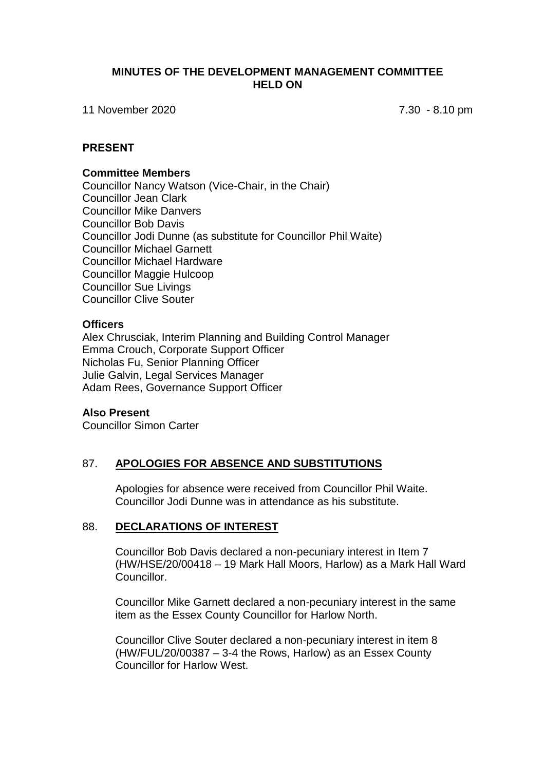## **MINUTES OF THE DEVELOPMENT MANAGEMENT COMMITTEE HELD ON**

11 November 2020 7.30 - 8.10 pm

## **PRESENT**

#### **Committee Members**

Councillor Nancy Watson (Vice-Chair, in the Chair) Councillor Jean Clark Councillor Mike Danvers Councillor Bob Davis Councillor Jodi Dunne (as substitute for Councillor Phil Waite) Councillor Michael Garnett Councillor Michael Hardware Councillor Maggie Hulcoop Councillor Sue Livings Councillor Clive Souter

### **Officers**

Alex Chrusciak, Interim Planning and Building Control Manager Emma Crouch, Corporate Support Officer Nicholas Fu, Senior Planning Officer Julie Galvin, Legal Services Manager Adam Rees, Governance Support Officer

### **Also Present**

Councillor Simon Carter

# 87. **APOLOGIES FOR ABSENCE AND SUBSTITUTIONS**

Apologies for absence were received from Councillor Phil Waite. Councillor Jodi Dunne was in attendance as his substitute.

### 88. **DECLARATIONS OF INTEREST**

Councillor Bob Davis declared a non-pecuniary interest in Item 7 (HW/HSE/20/00418 – 19 Mark Hall Moors, Harlow) as a Mark Hall Ward Councillor.

Councillor Mike Garnett declared a non-pecuniary interest in the same item as the Essex County Councillor for Harlow North.

Councillor Clive Souter declared a non-pecuniary interest in item 8 (HW/FUL/20/00387 – 3-4 the Rows, Harlow) as an Essex County Councillor for Harlow West.